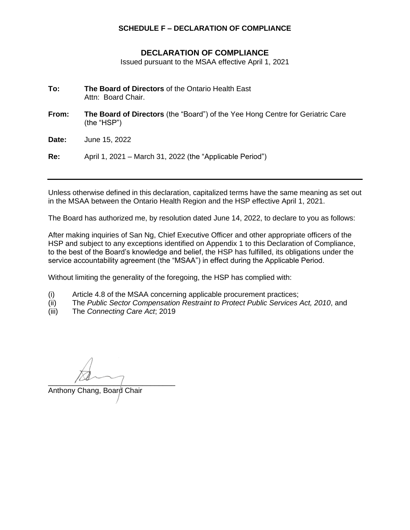## **SCHEDULE F – DECLARATION OF COMPLIANCE**

## **DECLARATION OF COMPLIANCE**

Issued pursuant to the MSAA effective April 1, 2021

- **To: The Board of Directors** of the Ontario Health East Attn: Board Chair.
- **From: The Board of Directors** (the "Board") of the Yee Hong Centre for Geriatric Care (the "HSP")

**Date:** June 15, 2022

**Re:** April 1, 2021 – March 31, 2022 (the "Applicable Period")

Unless otherwise defined in this declaration, capitalized terms have the same meaning as set out in the MSAA between the Ontario Health Region and the HSP effective April 1, 2021.

The Board has authorized me, by resolution dated June 14, 2022, to declare to you as follows:

After making inquiries of San Ng, Chief Executive Officer and other appropriate officers of the HSP and subject to any exceptions identified on Appendix 1 to this Declaration of Compliance, to the best of the Board's knowledge and belief, the HSP has fulfilled, its obligations under the service accountability agreement (the "MSAA") in effect during the Applicable Period.

Without limiting the generality of the foregoing, the HSP has complied with:

- (i) Article 4.8 of the MSAA concerning applicable procurement practices;
- (ii) The *Public Sector Compensation Restraint to Protect Public Services Act, 2010*, and
- (iii) The *Connecting Care Act*; 2019

 $\frac{1}{2}$ 

Anthony Chang, Board Chair